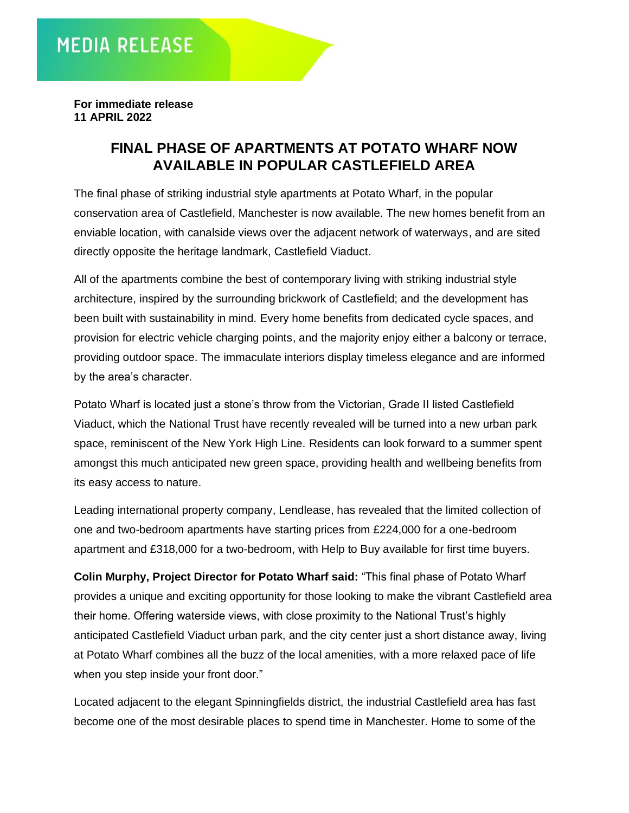**For immediate release 11 APRIL 2022**

## **FINAL PHASE OF APARTMENTS AT POTATO WHARF NOW AVAILABLE IN POPULAR CASTLEFIELD AREA**

The final phase of striking industrial style apartments at Potato Wharf, in the popular conservation area of Castlefield, Manchester is now available. The new homes benefit from an enviable location, with canalside views over the adjacent network of waterways, and are sited directly opposite the heritage landmark, Castlefield Viaduct.

All of the apartments combine the best of contemporary living with striking industrial style architecture, inspired by the surrounding brickwork of Castlefield; and the development has been built with sustainability in mind. Every home benefits from dedicated cycle spaces, and provision for electric vehicle charging points, and the majority enjoy either a balcony or terrace, providing outdoor space. The immaculate interiors display timeless elegance and are informed by the area's character.

Potato Wharf is located just a stone's throw from the Victorian, Grade II listed Castlefield Viaduct, which the National Trust have recently revealed will be turned into a new urban park space, reminiscent of the New York High Line. Residents can look forward to a summer spent amongst this much anticipated new green space, providing health and wellbeing benefits from its easy access to nature.

Leading international property company, Lendlease, has revealed that the limited collection of one and two-bedroom apartments have starting prices from £224,000 for a one-bedroom apartment and £318,000 for a two-bedroom, with Help to Buy available for first time buyers.

**Colin Murphy, Project Director for Potato Wharf said:** "This final phase of Potato Wharf provides a unique and exciting opportunity for those looking to make the vibrant Castlefield area their home. Offering waterside views, with close proximity to the National Trust's highly anticipated Castlefield Viaduct urban park, and the city center just a short distance away, living at Potato Wharf combines all the buzz of the local amenities, with a more relaxed pace of life when you step inside your front door."

Located adjacent to the elegant Spinningfields district, the industrial Castlefield area has fast become one of the most desirable places to spend time in Manchester. Home to some of the